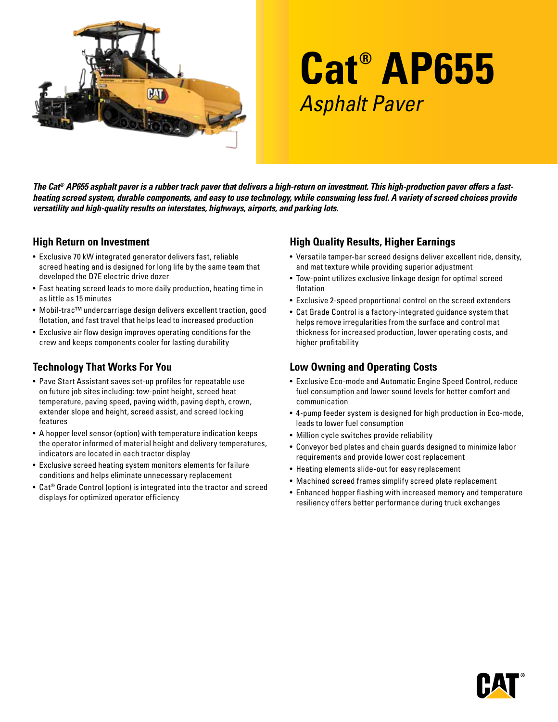

# **Cat® AP655** Asphalt Paver

*The Cat® AP655 asphalt paver is a rubber track paver that delivers a high-return on investment. This high-production paver offers a fastheating screed system, durable components, and easy to use technology, while consuming less fuel. A variety of screed choices provide versatility and high-quality results on interstates, highways, airports, and parking lots.* 

#### **High Return on Investment**

- Exclusive 70 kW integrated generator delivers fast, reliable screed heating and is designed for long life by the same team that developed the D7E electric drive dozer
- Fast heating screed leads to more daily production, heating time in as little as 15 minutes
- Mobil-trac™ undercarriage design delivers excellent traction, good flotation, and fast travel that helps lead to increased production
- Exclusive air flow design improves operating conditions for the crew and keeps components cooler for lasting durability

## **Technology That Works For You**

- Pave Start Assistant saves set-up profiles for repeatable use on future job sites including: tow-point height, screed heat temperature, paving speed, paving width, paving depth, crown, extender slope and height, screed assist, and screed locking features
- A hopper level sensor (option) with temperature indication keeps the operator informed of material height and delivery temperatures, indicators are located in each tractor display
- Exclusive screed heating system monitors elements for failure conditions and helps eliminate unnecessary replacement
- Cat® Grade Control (option) is integrated into the tractor and screed displays for optimized operator efficiency

## **High Quality Results, Higher Earnings**

- Versatile tamper-bar screed designs deliver excellent ride, density, and mat texture while providing superior adjustment
- Tow-point utilizes exclusive linkage design for optimal screed flotation
- Exclusive 2-speed proportional control on the screed extenders
- Cat Grade Control is a factory-integrated guidance system that helps remove irregularities from the surface and control mat thickness for increased production, lower operating costs, and higher profitability

## **Low Owning and Operating Costs**

- Exclusive Eco-mode and Automatic Engine Speed Control, reduce fuel consumption and lower sound levels for better comfort and communication
- 4-pump feeder system is designed for high production in Eco-mode, leads to lower fuel consumption
- Million cycle switches provide reliability
- Conveyor bed plates and chain guards designed to minimize labor requirements and provide lower cost replacement
- Heating elements slide-out for easy replacement
- Machined screed frames simplify screed plate replacement
- Enhanced hopper flashing with increased memory and temperature resiliency offers better performance during truck exchanges

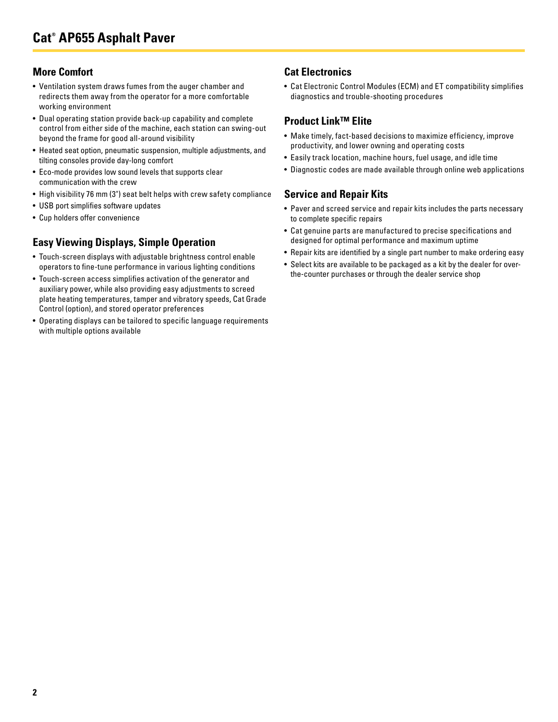#### **More Comfort**

- Ventilation system draws fumes from the auger chamber and redirects them away from the operator for a more comfortable working environment
- Dual operating station provide back-up capability and complete control from either side of the machine, each station can swing-out beyond the frame for good all-around visibility
- Heated seat option, pneumatic suspension, multiple adjustments, and tilting consoles provide day-long comfort
- Eco-mode provides low sound levels that supports clear communication with the crew
- High visibility 76 mm (3") seat belt helps with crew safety compliance
- USB port simplifies software updates
- Cup holders offer convenience

## **Easy Viewing Displays, Simple Operation**

- Touch-screen displays with adjustable brightness control enable operators to fine-tune performance in various lighting conditions
- Touch-screen access simplifies activation of the generator and auxiliary power, while also providing easy adjustments to screed plate heating temperatures, tamper and vibratory speeds, Cat Grade Control (option), and stored operator preferences
- Operating displays can be tailored to specific language requirements with multiple options available

### **Cat Electronics**

• Cat Electronic Control Modules (ECM) and ET compatibility simplifies diagnostics and trouble-shooting procedures

#### **Product Link™ Elite**

- Make timely, fact-based decisions to maximize efficiency, improve productivity, and lower owning and operating costs
- Easily track location, machine hours, fuel usage, and idle time
- Diagnostic codes are made available through online web applications

#### **Service and Repair Kits**

- Paver and screed service and repair kits includes the parts necessary to complete specific repairs
- Cat genuine parts are manufactured to precise specifications and designed for optimal performance and maximum uptime
- Repair kits are identified by a single part number to make ordering easy
- Select kits are available to be packaged as a kit by the dealer for overthe-counter purchases or through the dealer service shop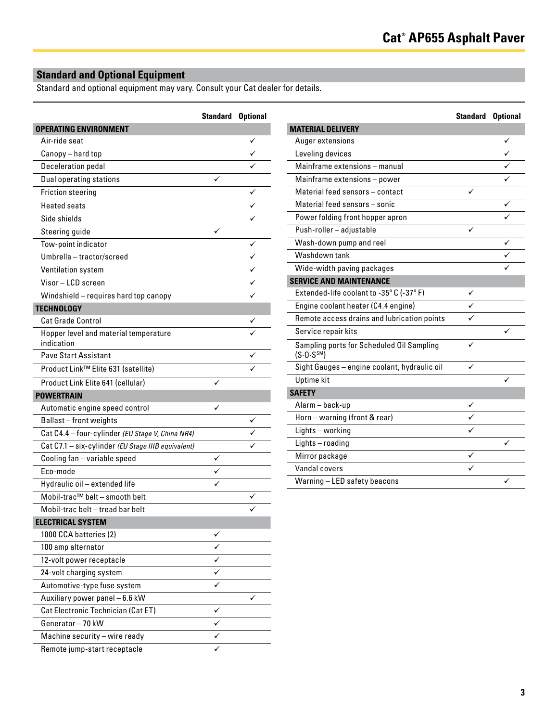## **Standard and Optional Equipment**

Standard and optional equipment may vary. Consult your Cat dealer for details.

|                                                    | <b>Standard Optional</b> |   |
|----------------------------------------------------|--------------------------|---|
| <b>OPERATING ENVIRONMENT</b>                       |                          |   |
| Air-ride seat                                      |                          |   |
| Canopy - hard top                                  |                          |   |
| <b>Deceleration pedal</b>                          |                          |   |
| <b>Dual operating stations</b>                     | ✓                        |   |
| <b>Friction steering</b>                           |                          |   |
| <b>Heated seats</b>                                |                          |   |
| Side shields                                       |                          |   |
| Steering guide                                     |                          |   |
| Tow-point indicator                                |                          | ✓ |
| Umbrella - tractor/screed                          |                          |   |
| Ventilation system                                 |                          |   |
| Visor-LCD screen                                   |                          |   |
| Windshield - requires hard top canopy              |                          |   |
| <b>TECHNOLOGY</b>                                  |                          |   |
| Cat Grade Control                                  |                          |   |
| Hopper level and material temperature              |                          |   |
| indication                                         |                          |   |
| <b>Pave Start Assistant</b>                        |                          |   |
| Product Link™ Elite 631 (satellite)                |                          |   |
| Product Link Elite 641 (cellular)                  |                          |   |
| <b>POWERTRAIN</b>                                  |                          |   |
| Automatic engine speed control                     | ✓                        |   |
| Ballast-front weights                              |                          |   |
| Cat C4.4 - four-cylinder (EU Stage V, China NR4)   |                          |   |
| Cat C7.1 - six-cylinder (EU Stage IIIB equivalent) |                          |   |
| Cooling fan - variable speed                       |                          |   |
| Eco-mode                                           |                          |   |
| Hydraulic oil - extended life                      |                          |   |
| Mobil-trac™ belt - smooth belt                     |                          |   |
| Mobil-trac belt – tread bar belt                   |                          |   |
| <b>ELECTRICAL SYSTEM</b>                           |                          |   |
| 1000 CCA batteries (2)                             |                          |   |
| 100 amp alternator                                 |                          |   |
| 12-volt power receptacle                           |                          |   |
| 24-volt charging system                            | ✓                        |   |
| Automotive-type fuse system                        |                          |   |
| Auxiliary power panel - 6.6 kW                     |                          |   |
| Cat Electronic Technician (Cat ET)                 | ✓                        |   |
| Generator-70 kW                                    | ✓                        |   |
| Machine security - wire ready                      |                          |   |
| Remote jump-start receptacle                       |                          |   |

|                                                                      | <b>Standard Optional</b> |   |
|----------------------------------------------------------------------|--------------------------|---|
| <b>MATERIAL DELIVERY</b>                                             |                          |   |
| Auger extensions                                                     |                          |   |
| Leveling devices                                                     |                          |   |
| Mainframe extensions - manual                                        |                          |   |
| Mainframe extensions - power                                         |                          |   |
| Material feed sensors - contact                                      |                          |   |
| Material feed sensors - sonic                                        |                          | ✓ |
| Power folding front hopper apron                                     |                          |   |
| Push-roller - adjustable                                             |                          |   |
| Wash-down pump and reel                                              |                          | ✓ |
| Washdown tank                                                        |                          |   |
| Wide-width paving packages                                           |                          |   |
| <b>SERVICE AND MAINTENANCE</b>                                       |                          |   |
| Extended-life coolant to -35° C (-37° F)                             | ✓                        |   |
| Engine coolant heater (C4.4 engine)                                  |                          |   |
| Remote access drains and lubrication points                          |                          |   |
| Service repair kits                                                  |                          |   |
| Sampling ports for Scheduled Oil Sampling<br>(S.0. S <sup>SM</sup> ) | ✓                        |   |
| Sight Gauges - engine coolant, hydraulic oil                         |                          |   |
| <b>Uptime</b> kit                                                    |                          |   |
| <b>SAFETY</b>                                                        |                          |   |
| Alarm-back-up                                                        | ✓                        |   |
| Horn - warning (front & rear)                                        |                          |   |
| Lights - working                                                     |                          |   |
| Lights-roading                                                       |                          |   |
| Mirror package                                                       | ✓                        |   |
| Vandal covers                                                        |                          |   |
| Warning - LED safety beacons                                         |                          | ✓ |